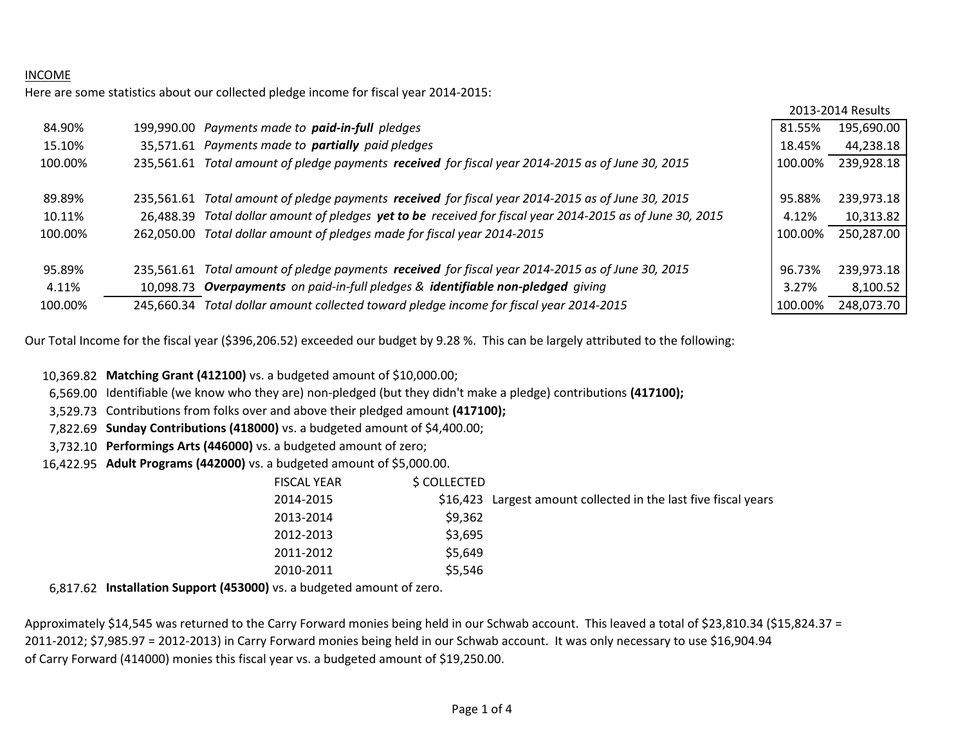### INCOME

Here are some statistics about our collected pledge income for fiscal year 2014-2015:

|         |            |                                                                                                   |         | 2013-2014 Results |
|---------|------------|---------------------------------------------------------------------------------------------------|---------|-------------------|
| 84.90%  |            | 199,990.00 Payments made to <b>paid-in-full</b> pledges                                           | 81.55%  | 195,690.00        |
| 15.10%  |            | 35,571.61 Payments made to <b>partially</b> paid pledges                                          | 18.45%  | 44,238.18         |
| 100.00% | 235.561.61 | Total amount of pledge payments received for fiscal year 2014-2015 as of June 30, 2015            | 100.00% | 239,928.18        |
|         |            |                                                                                                   |         |                   |
| 89.89%  | 235.561.61 | Total amount of pledge payments received for fiscal year 2014-2015 as of June 30, 2015            | 95.88%  | 239,973.18        |
| 10.11%  | 26.488.39  | Total dollar amount of pledges yet to be received for fiscal year 2014-2015 as of June 30, 2015   | 4.12%   | 10,313.82         |
| 100.00% | 262.050.00 | Total dollar amount of pledges made for fiscal year 2014-2015                                     | 100.00% | 250,287.00        |
|         |            |                                                                                                   |         |                   |
| 95.89%  |            | 235,561.61 Total amount of pledge payments received for fiscal year 2014-2015 as of June 30, 2015 | 96.73%  | 239,973.18        |
| 4.11%   |            | 10,098.73 Overpayments on paid-in-full pledges & identifiable non-pledged giving                  | 3.27%   | 8,100.52          |
| 100.00% | 245.660.34 | Total dollar amount collected toward pledge income for fiscal year 2014-2015                      | 100.00% | 248,073.70        |

Our Total Income for the fiscal year (\$396,206.52) exceeded our budget by 9.28 %. This can be largely attributed to the following:

10,369.82 **Matching Grant (412100)** vs. a budgeted amount of \$10,000.00;

6,569.00 Identifiable (we know who they are) non-pledged (but they didn't make a pledge) contributions **(417100);**

3,529.73 Contributions from folks over and above their pledged amount **(417100);**

7,822.69 **Sunday Contributions (418000)** vs. a budgeted amount of \$4,400.00;

3,732.10 **Performings Arts (446000)** vs. a budgeted amount of zero;

16,422.95 **Adult Programs (442000)** vs. a budgeted amount of \$5,000.00.

| FISCAL YEAR | \$ COLLECTED |                                                                 |
|-------------|--------------|-----------------------------------------------------------------|
| 2014-2015   |              | \$16,423 Largest amount collected in the last five fiscal years |
| 2013-2014   | \$9,362      |                                                                 |
| 2012-2013   | \$3,695      |                                                                 |
| 2011-2012   | \$5,649      |                                                                 |
| 2010-2011   | \$5,546      |                                                                 |

6,817.62 **Installation Support (453000)** vs. a budgeted amount of zero.

Approximately \$14,545 was returned to the Carry Forward monies being held in our Schwab account. This leaved a total of \$23,810.34 (\$15,824.37 = 2011-2012; \$7,985.97 = 2012-2013) in Carry Forward monies being held in our Schwab account. It was only necessary to use \$16,904.94 of Carry Forward (414000) monies this fiscal year vs. a budgeted amount of \$19,250.00.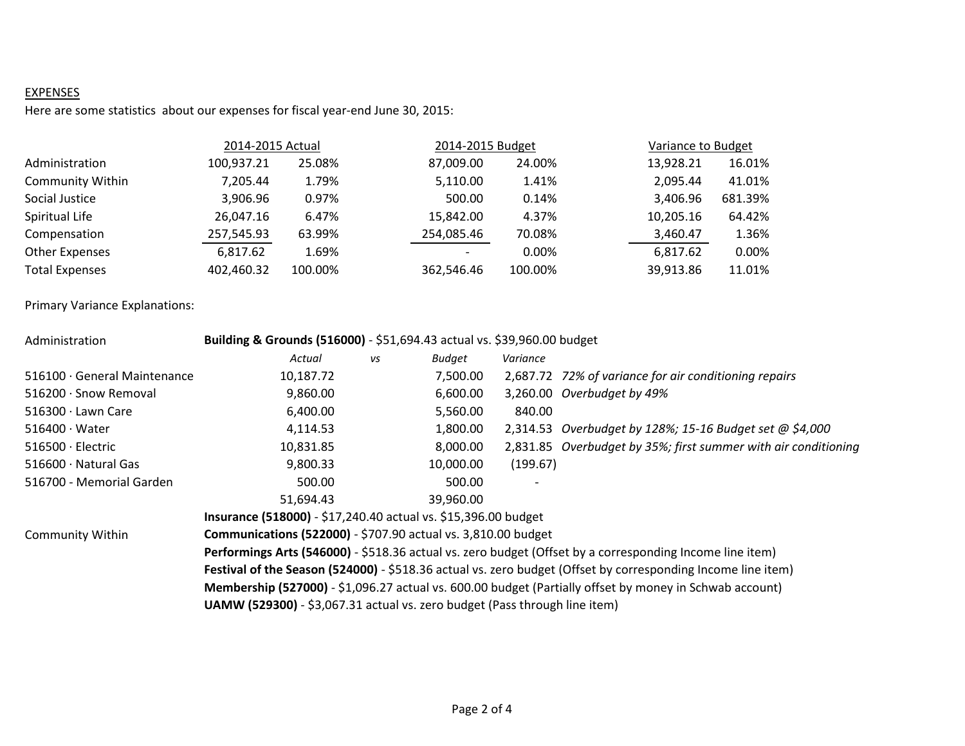# **EXPENSES**

Here are some statistics about our expenses for fiscal year-end June 30, 2015:

|                         | 2014-2015 Actual |         | 2014-2015 Budget |         | Variance to Budget |         |
|-------------------------|------------------|---------|------------------|---------|--------------------|---------|
| Administration          | 100,937.21       | 25.08%  | 87,009.00        | 24.00%  | 13,928.21          | 16.01%  |
| <b>Community Within</b> | 7.205.44         | 1.79%   | 5,110.00         | 1.41%   | 2,095.44           | 41.01%  |
| Social Justice          | 3,906.96         | 0.97%   | 500.00           | 0.14%   | 3,406.96           | 681.39% |
| Spiritual Life          | 26,047.16        | 6.47%   | 15,842.00        | 4.37%   | 10,205.16          | 64.42%  |
| Compensation            | 257,545.93       | 63.99%  | 254,085.46       | 70.08%  | 3,460.47           | 1.36%   |
| <b>Other Expenses</b>   | 6,817.62         | 1.69%   |                  | 0.00%   | 6,817.62           | 0.00%   |
| <b>Total Expenses</b>   | 402,460.32       | 100.00% | 362,546.46       | 100.00% | 39,913.86          | 11.01%  |

# Primary Variance Explanations:

| Building & Grounds (516000) - \$51,694.43 actual vs. \$39,960.00 budget<br>Administration |                                                                                                              |           |               |          |                                                                |  |  |  |
|-------------------------------------------------------------------------------------------|--------------------------------------------------------------------------------------------------------------|-----------|---------------|----------|----------------------------------------------------------------|--|--|--|
|                                                                                           | Actual                                                                                                       | <b>VS</b> | <b>Budget</b> | Variance |                                                                |  |  |  |
| 516100 · General Maintenance                                                              | 10,187.72                                                                                                    |           | 7,500.00      |          | 2,687.72 72% of variance for air conditioning repairs          |  |  |  |
| $516200 \cdot$ Snow Removal                                                               | 9,860.00                                                                                                     |           | 6,600.00      |          | 3,260.00 Overbudget by 49%                                     |  |  |  |
| $516300 \cdot$ Lawn Care                                                                  | 6,400.00                                                                                                     |           | 5,560.00      | 840.00   |                                                                |  |  |  |
| $516400 \cdot Water$                                                                      | 4,114.53                                                                                                     |           | 1,800.00      |          | 2,314.53 Overbudget by 128%; 15-16 Budget set @ \$4,000        |  |  |  |
| $516500 \cdot$ Electric                                                                   | 10,831.85                                                                                                    |           | 8,000.00      |          | 2,831.85 Overbudget by 35%; first summer with air conditioning |  |  |  |
| $516600 \cdot$ Natural Gas                                                                | 9,800.33                                                                                                     |           | 10,000.00     | (199.67) |                                                                |  |  |  |
| 516700 - Memorial Garden                                                                  | 500.00                                                                                                       |           | 500.00        |          |                                                                |  |  |  |
|                                                                                           | 51,694.43                                                                                                    |           | 39,960.00     |          |                                                                |  |  |  |
|                                                                                           | Insurance (518000) - \$17,240.40 actual vs. \$15,396.00 budget                                               |           |               |          |                                                                |  |  |  |
| <b>Community Within</b>                                                                   | <b>Communications (522000)</b> - \$707.90 actual vs. 3,810.00 budget                                         |           |               |          |                                                                |  |  |  |
|                                                                                           | Performings Arts (546000) - \$518.36 actual vs. zero budget (Offset by a corresponding Income line item)     |           |               |          |                                                                |  |  |  |
|                                                                                           | Festival of the Season (524000) - \$518.36 actual vs. zero budget (Offset by corresponding Income line item) |           |               |          |                                                                |  |  |  |
|                                                                                           | Membership (527000) - \$1,096.27 actual vs. 600.00 budget (Partially offset by money in Schwab account)      |           |               |          |                                                                |  |  |  |
| <b>UAMW (529300)</b> - \$3,067.31 actual vs. zero budget (Pass through line item)         |                                                                                                              |           |               |          |                                                                |  |  |  |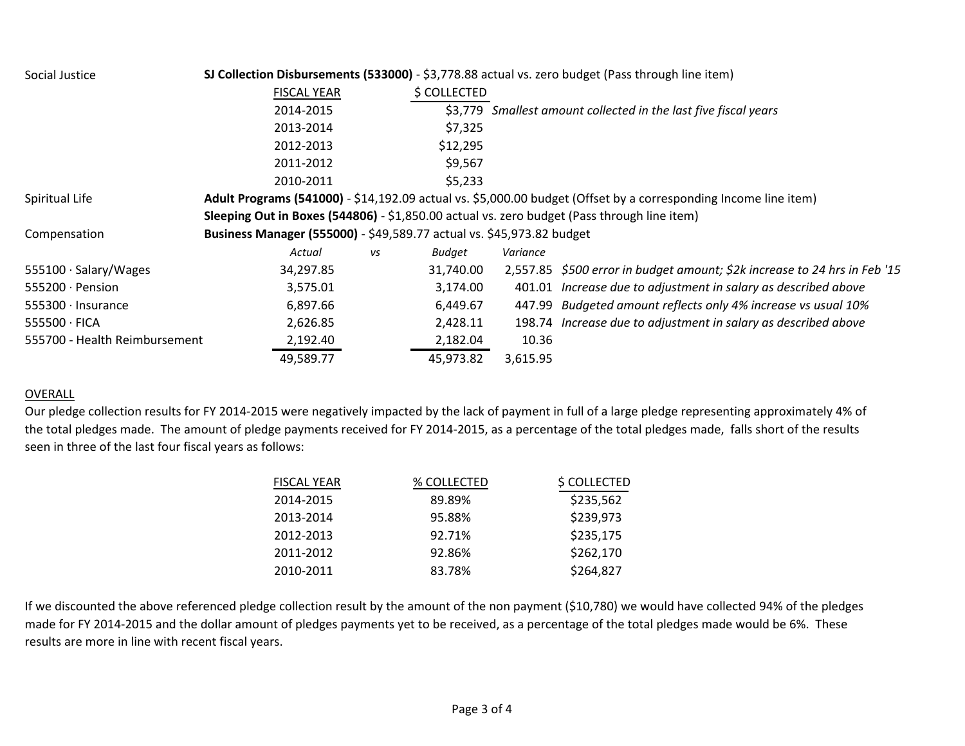#### Social Justice **SJ Collection Disbursements (533000)** - \$3,778.88 actual vs. zero budget (Pass through line item)

|                               | <b>FISCAL YEAR</b>                                                                          |    | \$ COLLECTED |          |                                                                                                                 |
|-------------------------------|---------------------------------------------------------------------------------------------|----|--------------|----------|-----------------------------------------------------------------------------------------------------------------|
|                               | 2014-2015                                                                                   |    |              |          | \$3,779 Smallest amount collected in the last five fiscal years                                                 |
|                               | 2013-2014                                                                                   |    | \$7,325      |          |                                                                                                                 |
|                               | 2012-2013                                                                                   |    | \$12,295     |          |                                                                                                                 |
|                               | 2011-2012                                                                                   |    | \$9,567      |          |                                                                                                                 |
|                               | 2010-2011                                                                                   |    | \$5,233      |          |                                                                                                                 |
| Spiritual Life                |                                                                                             |    |              |          | Adult Programs (541000) - \$14,192.09 actual vs. \$5,000.00 budget (Offset by a corresponding Income line item) |
|                               | Sleeping Out in Boxes (544806) - \$1,850.00 actual vs. zero budget (Pass through line item) |    |              |          |                                                                                                                 |
| Compensation                  | Business Manager (555000) - \$49,589.77 actual vs. \$45,973.82 budget                       |    |              |          |                                                                                                                 |
|                               | Actual                                                                                      | vs | Budget       | Variance |                                                                                                                 |
| 555100 · Salary/Wages         | 34,297.85                                                                                   |    | 31,740.00    |          | 2,557.85 \$500 error in budget amount; \$2k increase to 24 hrs in Feb '15                                       |
| 555200 · Pension              | 3,575.01                                                                                    |    | 3,174.00     |          | 401.01 Increase due to adjustment in salary as described above                                                  |
| 555300 · Insurance            | 6,897.66                                                                                    |    | 6,449.67     |          | 447.99 Budgeted amount reflects only 4% increase vs usual 10%                                                   |
| 555500 · FICA                 | 2,626.85                                                                                    |    | 2,428.11     |          | 198.74 Increase due to adjustment in salary as described above                                                  |
| 555700 - Health Reimbursement | 2,192.40                                                                                    |    | 2,182.04     | 10.36    |                                                                                                                 |
|                               | 49,589.77                                                                                   |    | 45,973.82    | 3,615.95 |                                                                                                                 |

## OVERALL

Our pledge collection results for FY 2014-2015 were negatively impacted by the lack of payment in full of a large pledge representing approximately 4% of the total pledges made. The amount of pledge payments received for FY 2014-2015, as a percentage of the total pledges made, falls short of the results seen in three of the last four fiscal years as follows:

| <b>FISCAL YEAR</b> | % COLLECTED | \$ COLLECTED |
|--------------------|-------------|--------------|
| 2014-2015          | 89.89%      | \$235,562    |
| 2013-2014          | 95.88%      | \$239,973    |
| 2012-2013          | 92.71%      | \$235,175    |
| 2011-2012          | 92.86%      | \$262,170    |
| 2010-2011          | 83.78%      | \$264,827    |

If we discounted the above referenced pledge collection result by the amount of the non payment (\$10,780) we would have collected 94% of the pledges made for FY 2014-2015 and the dollar amount of pledges payments yet to be received, as a percentage of the total pledges made would be 6%. These results are more in line with recent fiscal years.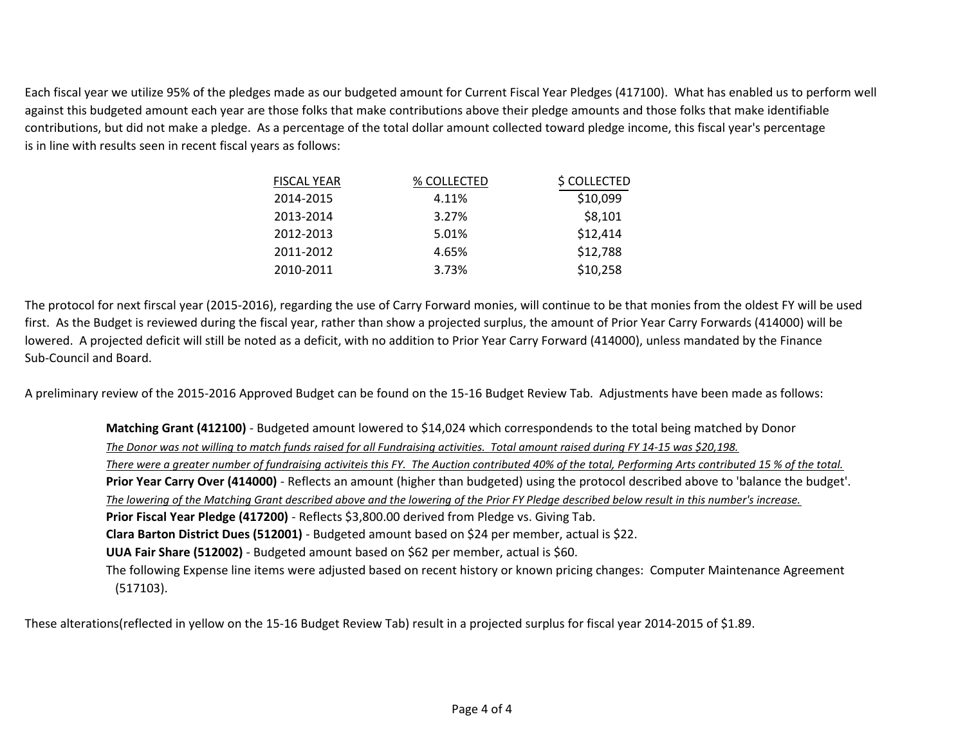Each fiscal year we utilize 95% of the pledges made as our budgeted amount for Current Fiscal Year Pledges (417100). What has enabled us to perform well against this budgeted amount each year are those folks that make contributions above their pledge amounts and those folks that make identifiable contributions, but did not make a pledge. As a percentage of the total dollar amount collected toward pledge income, this fiscal year's percentage is in line with results seen in recent fiscal years as follows:

| % COLLECTED | \$ COLLECTED |
|-------------|--------------|
| 4.11%       | \$10,099     |
| 3.27%       | \$8,101      |
| 5.01%       | \$12,414     |
| 4.65%       | \$12,788     |
| 3.73%       | \$10,258     |
|             |              |

The protocol for next firscal year (2015-2016), regarding the use of Carry Forward monies, will continue to be that monies from the oldest FY will be used first. As the Budget is reviewed during the fiscal year, rather than show a projected surplus, the amount of Prior Year Carry Forwards (414000) will be lowered. A projected deficit will still be noted as a deficit, with no addition to Prior Year Carry Forward (414000), unless mandated by the Finance Sub-Council and Board.

A preliminary review of the 2015-2016 Approved Budget can be found on the 15-16 Budget Review Tab. Adjustments have been made as follows:

**Matching Grant (412100)** - Budgeted amount lowered to \$14,024 which correspondends to the total being matched by Donor *The Donor was not willing to match funds raised for all Fundraising activities. Total amount raised during FY 14-15 was \$20,198. There were a greater number of fundraising activiteis this FY. The Auction contributed 40% of the total, Performing Arts contributed 15 % of the total.* **Prior Year Carry Over (414000)** - Reflects an amount (higher than budgeted) using the protocol described above to 'balance the budget'. *The lowering of the Matching Grant described above and the lowering of the Prior FY Pledge described below result in this number's increase.* **Prior Fiscal Year Pledge (417200)** - Reflects \$3,800.00 derived from Pledge vs. Giving Tab. **Clara Barton District Dues (512001)** - Budgeted amount based on \$24 per member, actual is \$22. **UUA Fair Share (512002)** - Budgeted amount based on \$62 per member, actual is \$60. The following Expense line items were adjusted based on recent history or known pricing changes: Computer Maintenance Agreement (517103).

These alterations(reflected in yellow on the 15-16 Budget Review Tab) result in a projected surplus for fiscal year 2014-2015 of \$1.89.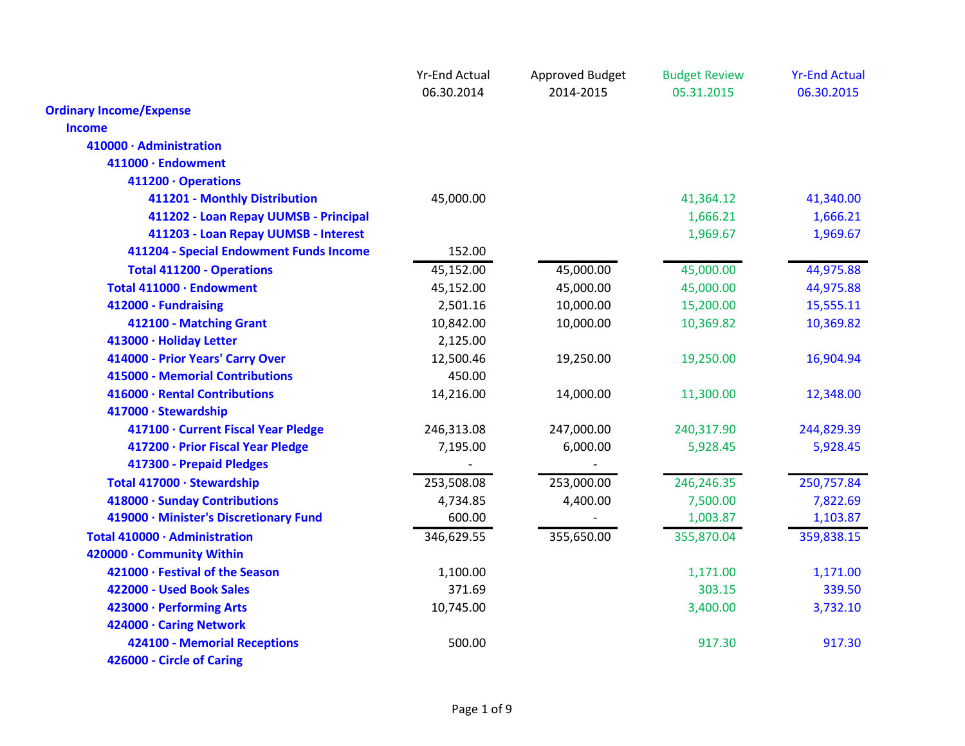|                                         | <b>Yr-End Actual</b> | Approved Budget | <b>Budget Review</b> | <b>Yr-End Actual</b> |
|-----------------------------------------|----------------------|-----------------|----------------------|----------------------|
|                                         | 06.30.2014           | 2014-2015       | 05.31.2015           | 06.30.2015           |
| <b>Ordinary Income/Expense</b>          |                      |                 |                      |                      |
| <b>Income</b>                           |                      |                 |                      |                      |
| 410000 · Administration                 |                      |                 |                      |                      |
| 411000 · Endowment                      |                      |                 |                      |                      |
| 411200 · Operations                     |                      |                 |                      |                      |
| 411201 - Monthly Distribution           | 45,000.00            |                 | 41,364.12            | 41,340.00            |
| 411202 - Loan Repay UUMSB - Principal   |                      |                 | 1,666.21             | 1,666.21             |
| 411203 - Loan Repay UUMSB - Interest    |                      |                 | 1,969.67             | 1,969.67             |
| 411204 - Special Endowment Funds Income | 152.00               |                 |                      |                      |
| <b>Total 411200 - Operations</b>        | 45,152.00            | 45,000.00       | 45,000.00            | 44,975.88            |
| Total 411000 · Endowment                | 45,152.00            | 45,000.00       | 45,000.00            | 44,975.88            |
| 412000 - Fundraising                    | 2,501.16             | 10,000.00       | 15,200.00            | 15,555.11            |
| 412100 - Matching Grant                 | 10,842.00            | 10,000.00       | 10,369.82            | 10,369.82            |
| 413000 · Holiday Letter                 | 2,125.00             |                 |                      |                      |
| 414000 - Prior Years' Carry Over        | 12,500.46            | 19,250.00       | 19,250.00            | 16,904.94            |
| 415000 - Memorial Contributions         | 450.00               |                 |                      |                      |
| 416000 · Rental Contributions           | 14,216.00            | 14,000.00       | 11,300.00            | 12,348.00            |
| 417000 · Stewardship                    |                      |                 |                      |                      |
| 417100 · Current Fiscal Year Pledge     | 246,313.08           | 247,000.00      | 240,317.90           | 244,829.39           |
| 417200 · Prior Fiscal Year Pledge       | 7,195.00             | 6,000.00        | 5,928.45             | 5,928.45             |
| 417300 - Prepaid Pledges                |                      |                 |                      |                      |
| Total 417000 · Stewardship              | 253,508.08           | 253,000.00      | 246,246.35           | 250,757.84           |
| 418000 · Sunday Contributions           | 4,734.85             | 4,400.00        | 7,500.00             | 7,822.69             |
| 419000 · Minister's Discretionary Fund  | 600.00               |                 | 1,003.87             | 1,103.87             |
| Total 410000 · Administration           | 346,629.55           | 355,650.00      | 355,870.04           | 359,838.15           |
| 420000 · Community Within               |                      |                 |                      |                      |
| 421000 · Festival of the Season         | 1,100.00             |                 | 1,171.00             | 1,171.00             |
| 422000 - Used Book Sales                | 371.69               |                 | 303.15               | 339.50               |
| 423000 · Performing Arts                | 10,745.00            |                 | 3,400.00             | 3,732.10             |
| 424000 · Caring Network                 |                      |                 |                      |                      |
| 424100 - Memorial Receptions            | 500.00               |                 | 917.30               | 917.30               |
| 426000 - Circle of Caring               |                      |                 |                      |                      |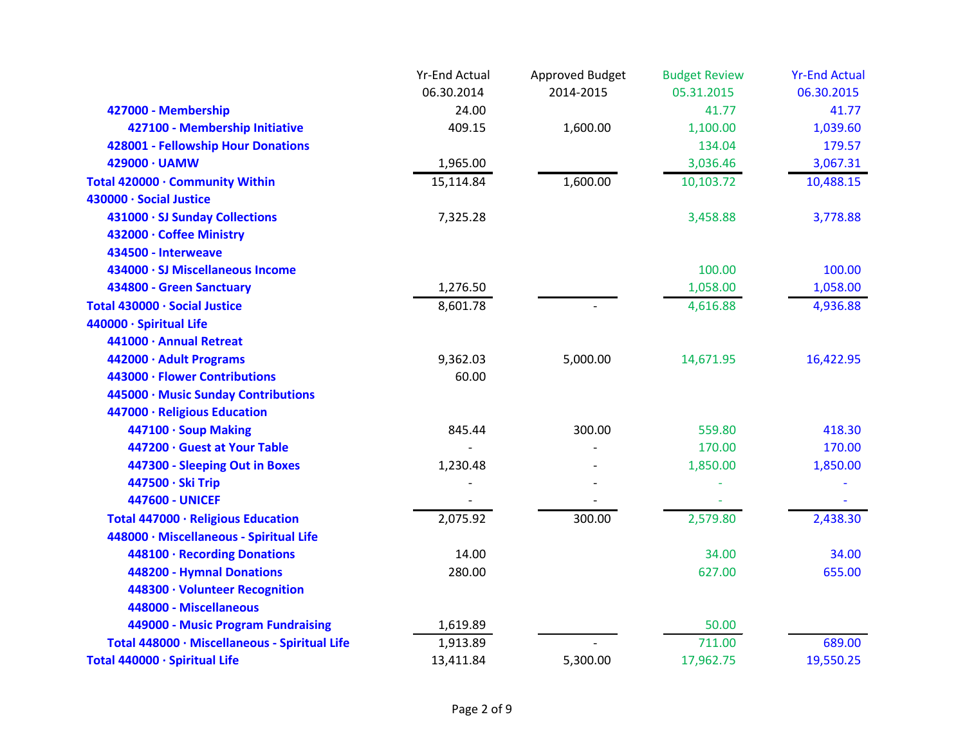|                                               | <b>Yr-End Actual</b> | Approved Budget | <b>Budget Review</b> | <b>Yr-End Actual</b> |
|-----------------------------------------------|----------------------|-----------------|----------------------|----------------------|
|                                               | 06.30.2014           | 2014-2015       | 05.31.2015           | 06.30.2015           |
| 427000 - Membership                           | 24.00                |                 | 41.77                | 41.77                |
| 427100 - Membership Initiative                | 409.15               | 1,600.00        | 1,100.00             | 1,039.60             |
| 428001 - Fellowship Hour Donations            |                      |                 | 134.04               | 179.57               |
| 429000 · UAMW                                 | 1,965.00             |                 | 3,036.46             | 3,067.31             |
| Total 420000 · Community Within               | 15,114.84            | 1,600.00        | 10,103.72            | 10,488.15            |
| 430000 · Social Justice                       |                      |                 |                      |                      |
| 431000 · SJ Sunday Collections                | 7,325.28             |                 | 3,458.88             | 3,778.88             |
| 432000 · Coffee Ministry                      |                      |                 |                      |                      |
| 434500 - Interweave                           |                      |                 |                      |                      |
| 434000 · SJ Miscellaneous Income              |                      |                 | 100.00               | 100.00               |
| 434800 - Green Sanctuary                      | 1,276.50             |                 | 1,058.00             | 1,058.00             |
| Total 430000 · Social Justice                 | 8,601.78             |                 | 4,616.88             | 4,936.88             |
| 440000 · Spiritual Life                       |                      |                 |                      |                      |
| 441000 · Annual Retreat                       |                      |                 |                      |                      |
| 442000 · Adult Programs                       | 9,362.03             | 5,000.00        | 14,671.95            | 16,422.95            |
| 443000 · Flower Contributions                 | 60.00                |                 |                      |                      |
| 445000 · Music Sunday Contributions           |                      |                 |                      |                      |
| 447000 · Religious Education                  |                      |                 |                      |                      |
| 447100 · Soup Making                          | 845.44               | 300.00          | 559.80               | 418.30               |
| 447200 · Guest at Your Table                  |                      |                 | 170.00               | 170.00               |
| 447300 - Sleeping Out in Boxes                | 1,230.48             |                 | 1,850.00             | 1,850.00             |
| 447500 · Ski Trip                             |                      |                 |                      |                      |
| <b>447600 - UNICEF</b>                        |                      |                 |                      |                      |
| Total 447000 · Religious Education            | 2,075.92             | 300.00          | 2,579.80             | 2,438.30             |
| 448000 · Miscellaneous - Spiritual Life       |                      |                 |                      |                      |
| 448100 · Recording Donations                  | 14.00                |                 | 34.00                | 34.00                |
| 448200 - Hymnal Donations                     | 280.00               |                 | 627.00               | 655.00               |
| 448300 · Volunteer Recognition                |                      |                 |                      |                      |
| 448000 - Miscellaneous                        |                      |                 |                      |                      |
| 449000 - Music Program Fundraising            | 1,619.89             |                 | 50.00                |                      |
| Total 448000 · Miscellaneous - Spiritual Life | 1,913.89             |                 | 711.00               | 689.00               |
| Total 440000 · Spiritual Life                 | 13,411.84            | 5,300.00        | 17,962.75            | 19,550.25            |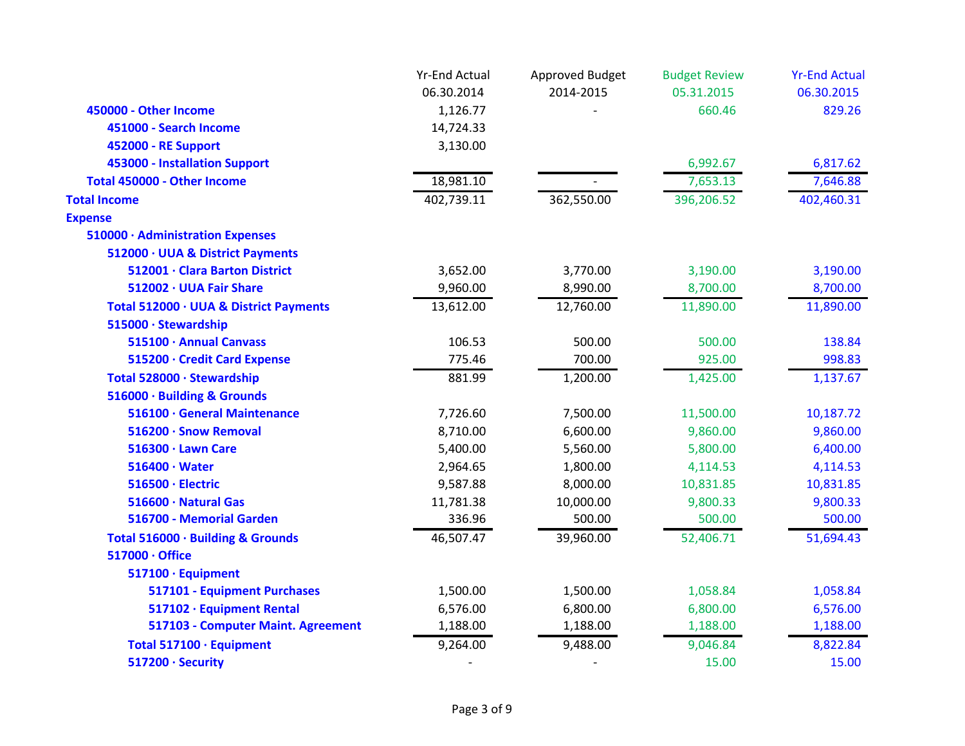|                                        | <b>Yr-End Actual</b> | Approved Budget | <b>Budget Review</b> | <b>Yr-End Actual</b> |
|----------------------------------------|----------------------|-----------------|----------------------|----------------------|
|                                        | 06.30.2014           | 2014-2015       | 05.31.2015           | 06.30.2015           |
| 450000 - Other Income                  | 1,126.77             |                 | 660.46               | 829.26               |
| 451000 - Search Income                 | 14,724.33            |                 |                      |                      |
| 452000 - RE Support                    | 3,130.00             |                 |                      |                      |
| 453000 - Installation Support          |                      |                 | 6,992.67             | 6,817.62             |
| <b>Total 450000 - Other Income</b>     | 18,981.10            |                 | 7,653.13             | 7,646.88             |
| <b>Total Income</b>                    | 402,739.11           | 362,550.00      | 396,206.52           | 402,460.31           |
| <b>Expense</b>                         |                      |                 |                      |                      |
| 510000 · Administration Expenses       |                      |                 |                      |                      |
| 512000 · UUA & District Payments       |                      |                 |                      |                      |
| 512001 · Clara Barton District         | 3,652.00             | 3,770.00        | 3,190.00             | 3,190.00             |
| 512002 · UUA Fair Share                | 9,960.00             | 8,990.00        | 8,700.00             | 8,700.00             |
| Total 512000 · UUA & District Payments | 13,612.00            | 12,760.00       | 11,890.00            | 11,890.00            |
| 515000 · Stewardship                   |                      |                 |                      |                      |
| 515100 · Annual Canvass                | 106.53               | 500.00          | 500.00               | 138.84               |
| 515200 · Credit Card Expense           | 775.46               | 700.00          | 925.00               | 998.83               |
| Total 528000 · Stewardship             | 881.99               | 1,200.00        | 1,425.00             | 1,137.67             |
| 516000 · Building & Grounds            |                      |                 |                      |                      |
| 516100 · General Maintenance           | 7,726.60             | 7,500.00        | 11,500.00            | 10,187.72            |
| 516200 · Snow Removal                  | 8,710.00             | 6,600.00        | 9,860.00             | 9,860.00             |
| 516300 · Lawn Care                     | 5,400.00             | 5,560.00        | 5,800.00             | 6,400.00             |
| $516400 \cdot Water$                   | 2,964.65             | 1,800.00        | 4,114.53             | 4,114.53             |
| 516500 · Electric                      | 9,587.88             | 8,000.00        | 10,831.85            | 10,831.85            |
| 516600 · Natural Gas                   | 11,781.38            | 10,000.00       | 9,800.33             | 9,800.33             |
| 516700 - Memorial Garden               | 336.96               | 500.00          | 500.00               | 500.00               |
| Total 516000 · Building & Grounds      | 46,507.47            | 39,960.00       | 52,406.71            | 51,694.43            |
| 517000 · Office                        |                      |                 |                      |                      |
| 517100 · Equipment                     |                      |                 |                      |                      |
| 517101 - Equipment Purchases           | 1,500.00             | 1,500.00        | 1,058.84             | 1,058.84             |
| 517102 · Equipment Rental              | 6,576.00             | 6,800.00        | 6,800.00             | 6,576.00             |
| 517103 - Computer Maint. Agreement     | 1,188.00             | 1,188.00        | 1,188.00             | 1,188.00             |
| Total 517100 · Equipment               | 9,264.00             | 9,488.00        | 9,046.84             | 8,822.84             |
| 517200 · Security                      |                      |                 | 15.00                | 15.00                |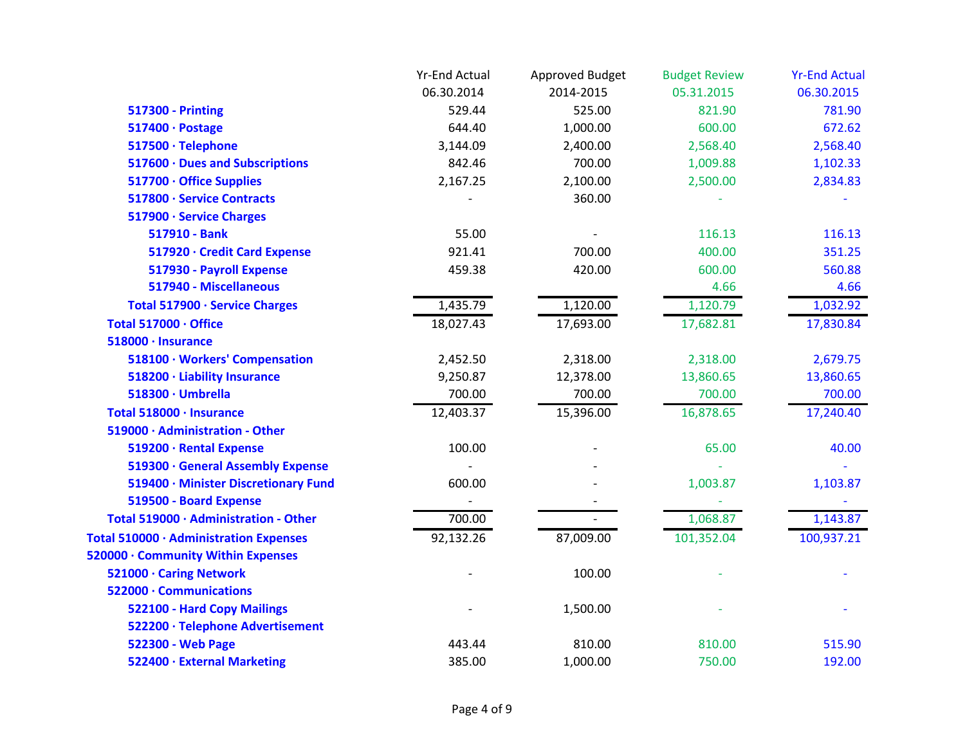|                                        | <b>Yr-End Actual</b> | <b>Approved Budget</b> | <b>Budget Review</b> | <b>Yr-End Actual</b> |
|----------------------------------------|----------------------|------------------------|----------------------|----------------------|
|                                        | 06.30.2014           | 2014-2015              | 05.31.2015           | 06.30.2015           |
| <b>517300 - Printing</b>               | 529.44               | 525.00                 | 821.90               | 781.90               |
| 517400 · Postage                       | 644.40               | 1,000.00               | 600.00               | 672.62               |
| 517500 · Telephone                     | 3,144.09             | 2,400.00               | 2,568.40             | 2,568.40             |
| 517600 · Dues and Subscriptions        | 842.46               | 700.00                 | 1,009.88             | 1,102.33             |
| 517700 · Office Supplies               | 2,167.25             | 2,100.00               | 2,500.00             | 2,834.83             |
| 517800 · Service Contracts             |                      | 360.00                 |                      |                      |
| 517900 · Service Charges               |                      |                        |                      |                      |
| 517910 - Bank                          | 55.00                |                        | 116.13               | 116.13               |
| 517920 · Credit Card Expense           | 921.41               | 700.00                 | 400.00               | 351.25               |
| 517930 - Payroll Expense               | 459.38               | 420.00                 | 600.00               | 560.88               |
| 517940 - Miscellaneous                 |                      |                        | 4.66                 | 4.66                 |
| Total 517900 · Service Charges         | 1,435.79             | 1,120.00               | 1,120.79             | 1,032.92             |
| Total 517000 · Office                  | 18,027.43            | 17,693.00              | 17,682.81            | 17,830.84            |
| 518000 · Insurance                     |                      |                        |                      |                      |
| 518100 · Workers' Compensation         | 2,452.50             | 2,318.00               | 2,318.00             | 2,679.75             |
| 518200 · Liability Insurance           | 9,250.87             | 12,378.00              | 13,860.65            | 13,860.65            |
| 518300 · Umbrella                      | 700.00               | 700.00                 | 700.00               | 700.00               |
| Total 518000 · Insurance               | 12,403.37            | 15,396.00              | 16,878.65            | 17,240.40            |
| 519000 · Administration - Other        |                      |                        |                      |                      |
| 519200 · Rental Expense                | 100.00               |                        | 65.00                | 40.00                |
| 519300 · General Assembly Expense      |                      |                        |                      |                      |
| 519400 · Minister Discretionary Fund   | 600.00               |                        | 1,003.87             | 1,103.87             |
| 519500 - Board Expense                 |                      |                        |                      |                      |
| Total 519000 · Administration - Other  | 700.00               |                        | 1,068.87             | 1,143.87             |
| Total 510000 · Administration Expenses | 92,132.26            | 87,009.00              | 101,352.04           | 100,937.21           |
| 520000 · Community Within Expenses     |                      |                        |                      |                      |
| 521000 · Caring Network                |                      | 100.00                 |                      |                      |
| 522000 · Communications                |                      |                        |                      |                      |
| 522100 - Hard Copy Mailings            |                      | 1,500.00               |                      |                      |
| 522200 · Telephone Advertisement       |                      |                        |                      |                      |
| 522300 - Web Page                      | 443.44               | 810.00                 | 810.00               | 515.90               |
| 522400 · External Marketing            | 385.00               | 1,000.00               | 750.00               | 192.00               |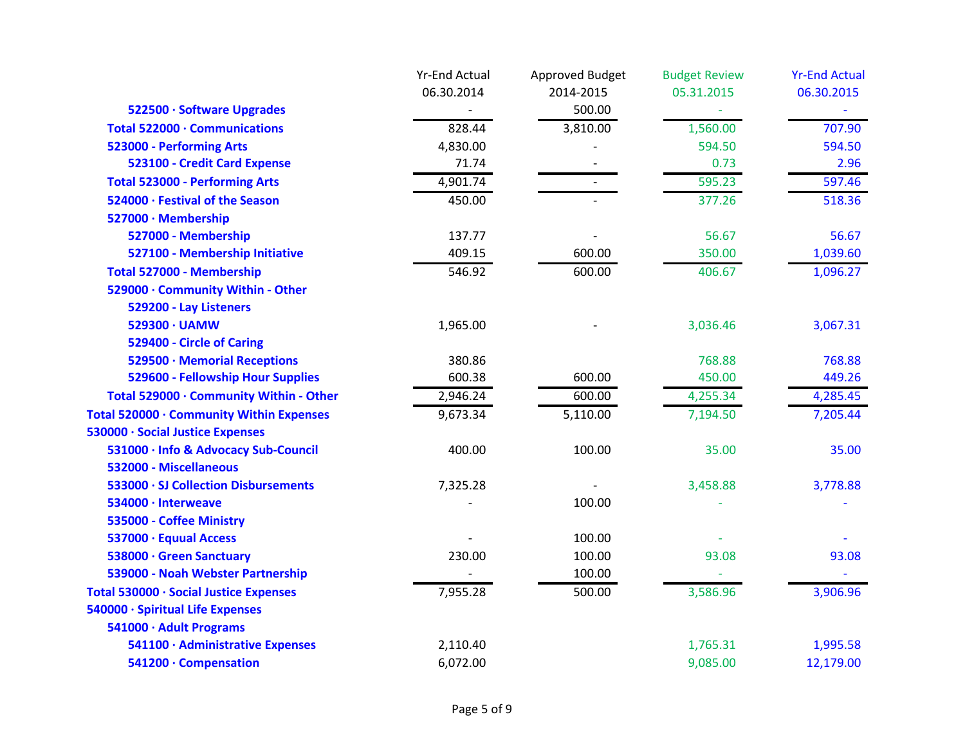|                                          | <b>Yr-End Actual</b> | Approved Budget | <b>Budget Review</b> | <b>Yr-End Actual</b> |
|------------------------------------------|----------------------|-----------------|----------------------|----------------------|
|                                          | 06.30.2014           | 2014-2015       | 05.31.2015           | 06.30.2015           |
| 522500 · Software Upgrades               |                      | 500.00          |                      |                      |
| Total 522000 · Communications            | 828.44               | 3,810.00        | 1,560.00             | 707.90               |
| 523000 - Performing Arts                 | 4,830.00             |                 | 594.50               | 594.50               |
| 523100 - Credit Card Expense             | 71.74                |                 | 0.73                 | 2.96                 |
| <b>Total 523000 - Performing Arts</b>    | 4,901.74             |                 | 595.23               | 597.46               |
| 524000 · Festival of the Season          | 450.00               |                 | 377.26               | 518.36               |
| 527000 · Membership                      |                      |                 |                      |                      |
| 527000 - Membership                      | 137.77               |                 | 56.67                | 56.67                |
| 527100 - Membership Initiative           | 409.15               | 600.00          | 350.00               | 1,039.60             |
| Total 527000 - Membership                | 546.92               | 600.00          | 406.67               | 1,096.27             |
| 529000 · Community Within - Other        |                      |                 |                      |                      |
| 529200 - Lay Listeners                   |                      |                 |                      |                      |
| 529300 · UAMW                            | 1,965.00             |                 | 3,036.46             | 3,067.31             |
| 529400 - Circle of Caring                |                      |                 |                      |                      |
| 529500 · Memorial Receptions             | 380.86               |                 | 768.88               | 768.88               |
| 529600 - Fellowship Hour Supplies        | 600.38               | 600.00          | 450.00               | 449.26               |
| Total 529000 · Community Within - Other  | 2,946.24             | 600.00          | 4,255.34             | 4,285.45             |
| Total 520000 · Community Within Expenses | 9,673.34             | 5,110.00        | 7,194.50             | 7,205.44             |
| 530000 · Social Justice Expenses         |                      |                 |                      |                      |
| 531000 · Info & Advocacy Sub-Council     | 400.00               | 100.00          | 35.00                | 35.00                |
| 532000 - Miscellaneous                   |                      |                 |                      |                      |
| 533000 · SJ Collection Disbursements     | 7,325.28             |                 | 3,458.88             | 3,778.88             |
| 534000 · Interweave                      |                      | 100.00          |                      |                      |
| 535000 - Coffee Ministry                 |                      |                 |                      |                      |
| 537000 · Equual Access                   |                      | 100.00          |                      |                      |
| 538000 · Green Sanctuary                 | 230.00               | 100.00          | 93.08                | 93.08                |
| 539000 - Noah Webster Partnership        |                      | 100.00          |                      |                      |
| Total 530000 · Social Justice Expenses   | 7,955.28             | 500.00          | 3,586.96             | 3,906.96             |
| 540000 · Spiritual Life Expenses         |                      |                 |                      |                      |
| 541000 · Adult Programs                  |                      |                 |                      |                      |
| 541100 · Administrative Expenses         | 2,110.40             |                 | 1,765.31             | 1,995.58             |
| 541200 · Compensation                    | 6,072.00             |                 | 9,085.00             | 12,179.00            |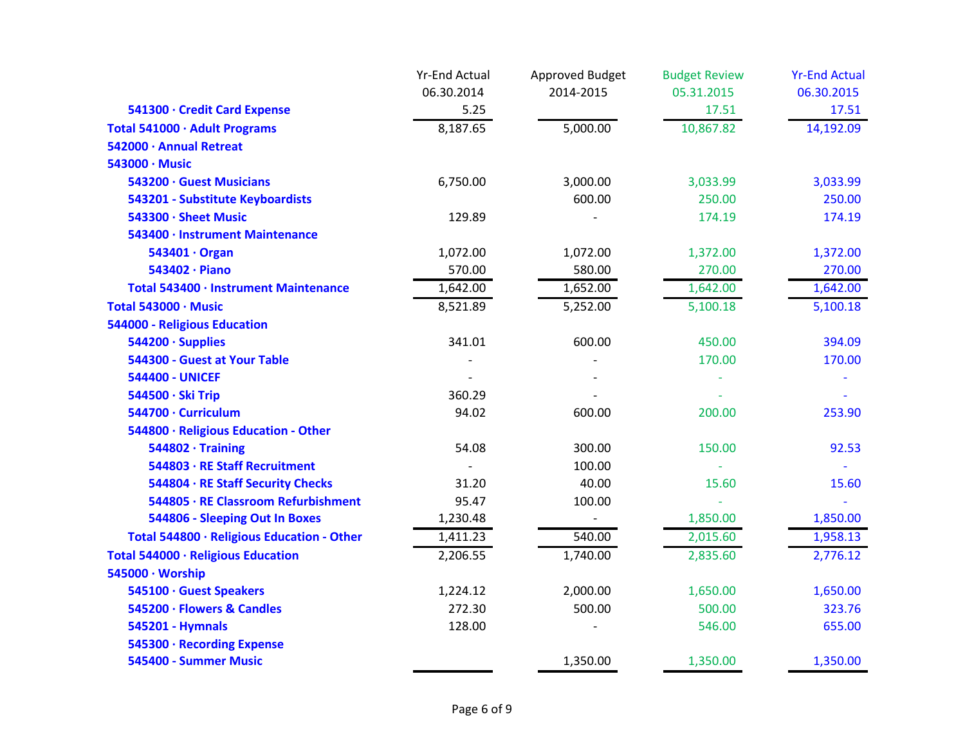|                                            | <b>Yr-End Actual</b> | Approved Budget | <b>Budget Review</b> | <b>Yr-End Actual</b> |
|--------------------------------------------|----------------------|-----------------|----------------------|----------------------|
|                                            | 06.30.2014           | 2014-2015       | 05.31.2015           | 06.30.2015           |
| 541300 · Credit Card Expense               | 5.25                 |                 | 17.51                | 17.51                |
| Total 541000 · Adult Programs              | 8,187.65             | 5,000.00        | 10,867.82            | 14,192.09            |
| 542000 · Annual Retreat                    |                      |                 |                      |                      |
| 543000 · Music                             |                      |                 |                      |                      |
| 543200 · Guest Musicians                   | 6,750.00             | 3,000.00        | 3,033.99             | 3,033.99             |
| 543201 - Substitute Keyboardists           |                      | 600.00          | 250.00               | 250.00               |
| 543300 · Sheet Music                       | 129.89               |                 | 174.19               | 174.19               |
| 543400 · Instrument Maintenance            |                      |                 |                      |                      |
| 543401 · Organ                             | 1,072.00             | 1,072.00        | 1,372.00             | 1,372.00             |
| 543402 · Piano                             | 570.00               | 580.00          | 270.00               | 270.00               |
| Total 543400 · Instrument Maintenance      | 1,642.00             | 1,652.00        | 1,642.00             | 1,642.00             |
| Total 543000 · Music                       | 8,521.89             | 5,252.00        | 5,100.18             | 5,100.18             |
| 544000 - Religious Education               |                      |                 |                      |                      |
| 544200 · Supplies                          | 341.01               | 600.00          | 450.00               | 394.09               |
| 544300 - Guest at Your Table               |                      |                 | 170.00               | 170.00               |
| <b>544400 - UNICEF</b>                     |                      |                 |                      |                      |
| 544500 · Ski Trip                          | 360.29               |                 |                      |                      |
| 544700 · Curriculum                        | 94.02                | 600.00          | 200.00               | 253.90               |
| 544800 · Religious Education - Other       |                      |                 |                      |                      |
| $544802 \cdot$ Training                    | 54.08                | 300.00          | 150.00               | 92.53                |
| 544803 · RE Staff Recruitment              |                      | 100.00          |                      |                      |
| 544804 · RE Staff Security Checks          | 31.20                | 40.00           | 15.60                | 15.60                |
| 544805 · RE Classroom Refurbishment        | 95.47                | 100.00          |                      |                      |
| 544806 - Sleeping Out In Boxes             | 1,230.48             |                 | 1,850.00             | 1,850.00             |
| Total 544800 · Religious Education - Other | 1,411.23             | 540.00          | 2,015.60             | 1,958.13             |
| Total 544000 · Religious Education         | 2,206.55             | 1,740.00        | 2,835.60             | 2,776.12             |
| 545000 · Worship                           |                      |                 |                      |                      |
| 545100 · Guest Speakers                    | 1,224.12             | 2,000.00        | 1,650.00             | 1,650.00             |
| 545200 · Flowers & Candles                 | 272.30               | 500.00          | 500.00               | 323.76               |
| 545201 - Hymnals                           | 128.00               |                 | 546.00               | 655.00               |
| 545300 · Recording Expense                 |                      |                 |                      |                      |
| 545400 - Summer Music                      |                      | 1,350.00        | 1,350.00             | 1,350.00             |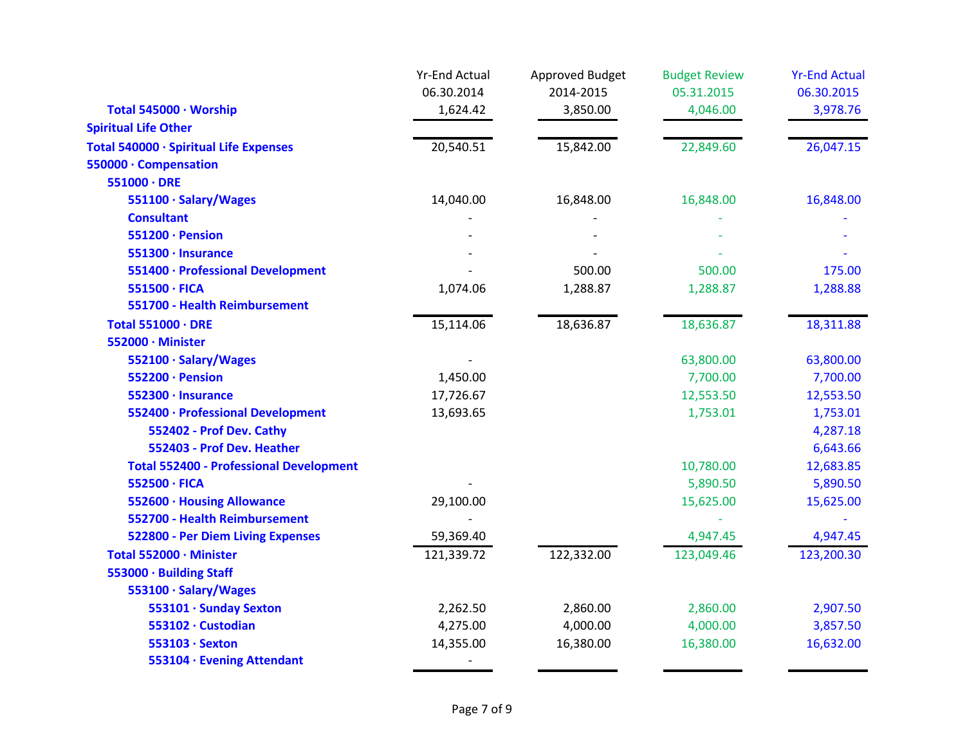|                                                | <b>Yr-End Actual</b> | Approved Budget | <b>Budget Review</b> | <b>Yr-End Actual</b> |
|------------------------------------------------|----------------------|-----------------|----------------------|----------------------|
|                                                | 06.30.2014           | 2014-2015       | 05.31.2015           | 06.30.2015           |
| Total 545000 · Worship                         | 1,624.42             | 3,850.00        | 4,046.00             | 3,978.76             |
| <b>Spiritual Life Other</b>                    |                      |                 |                      |                      |
| Total 540000 · Spiritual Life Expenses         | 20,540.51            | 15,842.00       | 22,849.60            | 26,047.15            |
| 550000 · Compensation                          |                      |                 |                      |                      |
| $551000 \cdot DRE$                             |                      |                 |                      |                      |
| 551100 · Salary/Wages                          | 14,040.00            | 16,848.00       | 16,848.00            | 16,848.00            |
| <b>Consultant</b>                              |                      |                 |                      |                      |
| 551200 · Pension                               |                      |                 |                      |                      |
| 551300 · Insurance                             |                      |                 |                      |                      |
| 551400 · Professional Development              |                      | 500.00          | 500.00               | 175.00               |
| 551500 · FICA                                  | 1,074.06             | 1,288.87        | 1,288.87             | 1,288.88             |
| 551700 - Health Reimbursement                  |                      |                 |                      |                      |
| <b>Total 551000 · DRE</b>                      | 15,114.06            | 18,636.87       | 18,636.87            | 18,311.88            |
| 552000 · Minister                              |                      |                 |                      |                      |
| 552100 · Salary/Wages                          |                      |                 | 63,800.00            | 63,800.00            |
| 552200 · Pension                               | 1,450.00             |                 | 7,700.00             | 7,700.00             |
| 552300 · Insurance                             | 17,726.67            |                 | 12,553.50            | 12,553.50            |
| 552400 · Professional Development              | 13,693.65            |                 | 1,753.01             | 1,753.01             |
| 552402 - Prof Dev. Cathy                       |                      |                 |                      | 4,287.18             |
| 552403 - Prof Dev. Heather                     |                      |                 |                      | 6,643.66             |
| <b>Total 552400 - Professional Development</b> |                      |                 | 10,780.00            | 12,683.85            |
| 552500 · FICA                                  |                      |                 | 5,890.50             | 5,890.50             |
| 552600 · Housing Allowance                     | 29,100.00            |                 | 15,625.00            | 15,625.00            |
| 552700 - Health Reimbursement                  |                      |                 |                      |                      |
| <b>522800 - Per Diem Living Expenses</b>       | 59,369.40            |                 | 4,947.45             | 4,947.45             |
| Total 552000 · Minister                        | 121,339.72           | 122,332.00      | 123,049.46           | 123,200.30           |
| 553000 · Building Staff                        |                      |                 |                      |                      |
| 553100 · Salary/Wages                          |                      |                 |                      |                      |
| 553101 · Sunday Sexton                         | 2,262.50             | 2,860.00        | 2,860.00             | 2,907.50             |
| 553102 · Custodian                             | 4,275.00             | 4,000.00        | 4,000.00             | 3,857.50             |
| 553103 · Sexton                                | 14,355.00            | 16,380.00       | 16,380.00            | 16,632.00            |
| 553104 · Evening Attendant                     |                      |                 |                      |                      |
|                                                |                      |                 |                      |                      |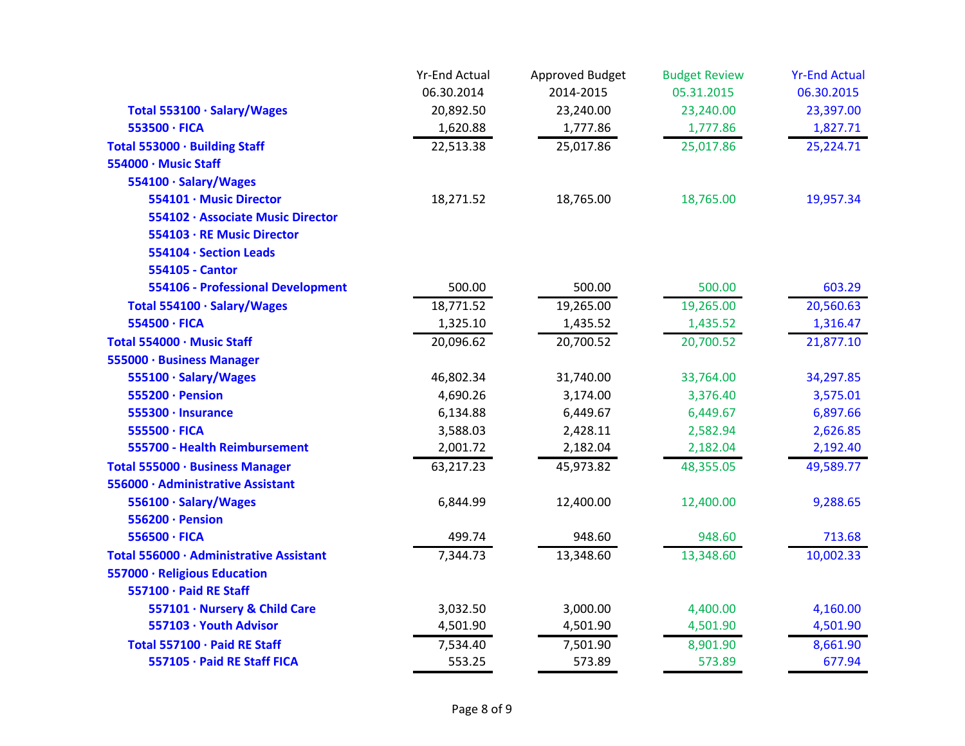|                                         | <b>Yr-End Actual</b> | Approved Budget | <b>Budget Review</b> | <b>Yr-End Actual</b> |
|-----------------------------------------|----------------------|-----------------|----------------------|----------------------|
|                                         | 06.30.2014           | 2014-2015       | 05.31.2015           | 06.30.2015           |
| Total 553100 · Salary/Wages             | 20,892.50            | 23,240.00       | 23,240.00            | 23,397.00            |
| 553500 · FICA                           | 1,620.88             | 1,777.86        | 1,777.86             | 1,827.71             |
| Total 553000 · Building Staff           | 22,513.38            | 25,017.86       | 25,017.86            | 25,224.71            |
| 554000 · Music Staff                    |                      |                 |                      |                      |
| 554100 · Salary/Wages                   |                      |                 |                      |                      |
| 554101 · Music Director                 | 18,271.52            | 18,765.00       | 18,765.00            | 19,957.34            |
| 554102 · Associate Music Director       |                      |                 |                      |                      |
| 554103 · RE Music Director              |                      |                 |                      |                      |
| 554104 · Section Leads                  |                      |                 |                      |                      |
| 554105 - Cantor                         |                      |                 |                      |                      |
| 554106 - Professional Development       | 500.00               | 500.00          | 500.00               | 603.29               |
| Total 554100 · Salary/Wages             | 18,771.52            | 19,265.00       | 19,265.00            | 20,560.63            |
| 554500 · FICA                           | 1,325.10             | 1,435.52        | 1,435.52             | 1,316.47             |
| Total 554000 · Music Staff              | 20,096.62            | 20,700.52       | 20,700.52            | 21,877.10            |
| 555000 · Business Manager               |                      |                 |                      |                      |
| 555100 · Salary/Wages                   | 46,802.34            | 31,740.00       | 33,764.00            | 34,297.85            |
| 555200 · Pension                        | 4,690.26             | 3,174.00        | 3,376.40             | 3,575.01             |
| 555300 · Insurance                      | 6,134.88             | 6,449.67        | 6,449.67             | 6,897.66             |
| 555500 · FICA                           | 3,588.03             | 2,428.11        | 2,582.94             | 2,626.85             |
| 555700 - Health Reimbursement           | 2,001.72             | 2,182.04        | 2,182.04             | 2,192.40             |
| Total 555000 · Business Manager         | 63,217.23            | 45,973.82       | 48,355.05            | 49,589.77            |
| 556000 · Administrative Assistant       |                      |                 |                      |                      |
| 556100 · Salary/Wages                   | 6,844.99             | 12,400.00       | 12,400.00            | 9,288.65             |
| 556200 · Pension                        |                      |                 |                      |                      |
| 556500 · FICA                           | 499.74               | 948.60          | 948.60               | 713.68               |
| Total 556000 · Administrative Assistant | 7,344.73             | 13,348.60       | 13,348.60            | 10,002.33            |
| 557000 · Religious Education            |                      |                 |                      |                      |
| 557100 · Paid RE Staff                  |                      |                 |                      |                      |
| 557101 · Nursery & Child Care           | 3,032.50             | 3,000.00        | 4,400.00             | 4,160.00             |
| 557103 · Youth Advisor                  | 4,501.90             | 4,501.90        | 4,501.90             | 4,501.90             |
| Total 557100 · Paid RE Staff            | 7,534.40             | 7,501.90        | 8,901.90             | 8,661.90             |
| 557105 · Paid RE Staff FICA             | 553.25               | 573.89          | 573.89               | 677.94               |